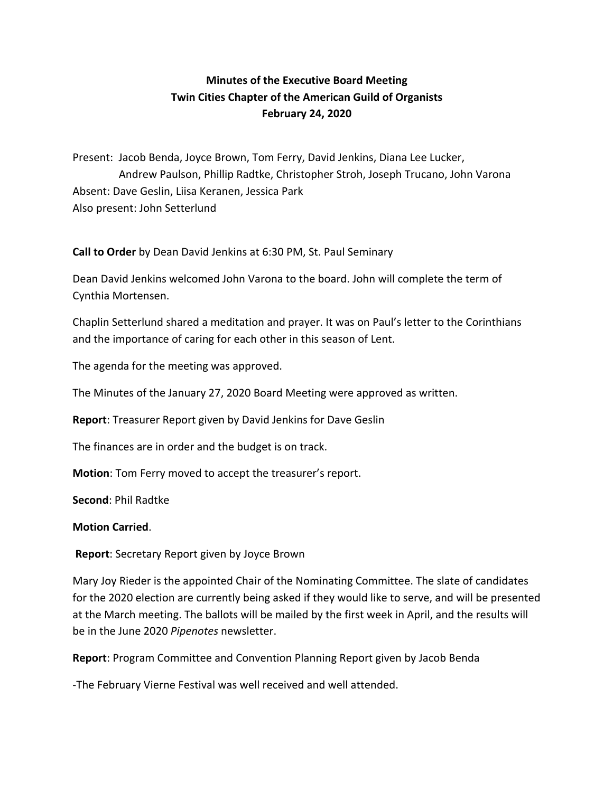## **Minutes of the Executive Board Meeting Twin Cities Chapter of the American Guild of Organists February 24, 2020**

Present: Jacob Benda, Joyce Brown, Tom Ferry, David Jenkins, Diana Lee Lucker, Andrew Paulson, Phillip Radtke, Christopher Stroh, Joseph Trucano, John Varona Absent: Dave Geslin, Liisa Keranen, Jessica Park Also present: John Setterlund

**Call to Order** by Dean David Jenkins at 6:30 PM, St. Paul Seminary

Dean David Jenkins welcomed John Varona to the board. John will complete the term of Cynthia Mortensen.

Chaplin Setterlund shared a meditation and prayer. It was on Paul's letter to the Corinthians and the importance of caring for each other in this season of Lent.

The agenda for the meeting was approved.

The Minutes of the January 27, 2020 Board Meeting were approved as written.

**Report**: Treasurer Report given by David Jenkins for Dave Geslin

The finances are in order and the budget is on track.

**Motion**: Tom Ferry moved to accept the treasurer's report.

**Second**: Phil Radtke

## **Motion Carried**.

**Report**: Secretary Report given by Joyce Brown

Mary Joy Rieder is the appointed Chair of the Nominating Committee. The slate of candidates for the 2020 election are currently being asked if they would like to serve, and will be presented at the March meeting. The ballots will be mailed by the first week in April, and the results will be in the June 2020 *Pipenotes* newsletter.

**Report**: Program Committee and Convention Planning Report given by Jacob Benda

-The February Vierne Festival was well received and well attended.